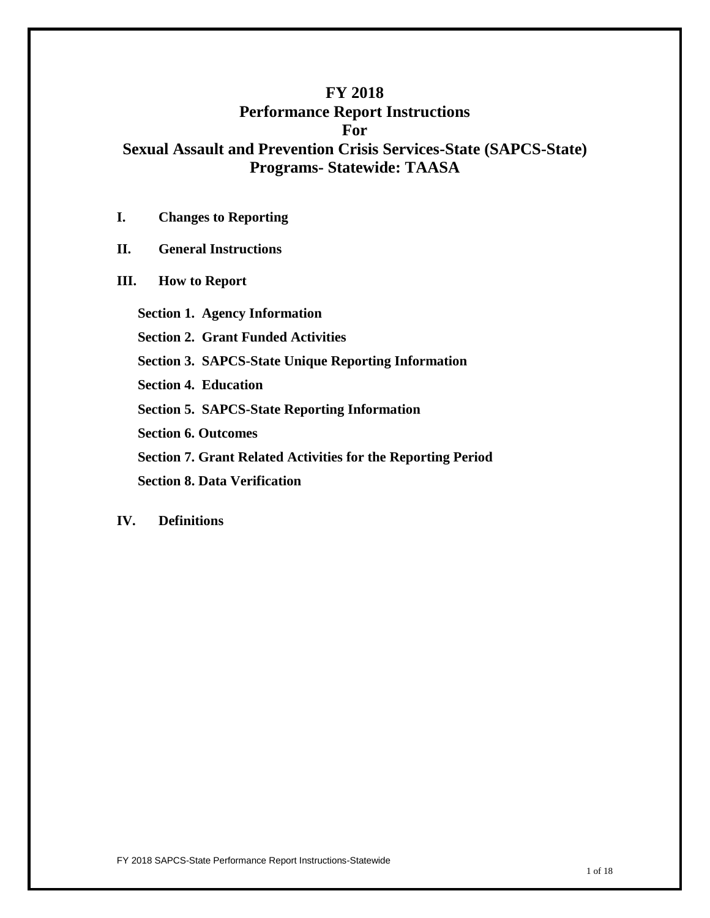### **FY 2018**

### **Performance Report Instructions For**

**Sexual Assault and Prevention Crisis Services-State (SAPCS-State) Programs- Statewide: TAASA**

**I. Changes to Reporting**

**II. General Instructions**

**III. How to Report**

**Section 1. Agency Information**

**Section 2. Grant Funded Activities**

**Section 3. SAPCS-State Unique Reporting Information**

**Section 4. Education**

**Section 5. SAPCS-State Reporting Information**

**Section 6. Outcomes**

**Section 7. Grant Related Activities for the Reporting Period**

 **Section 8. Data Verification** 

#### **IV. Definitions**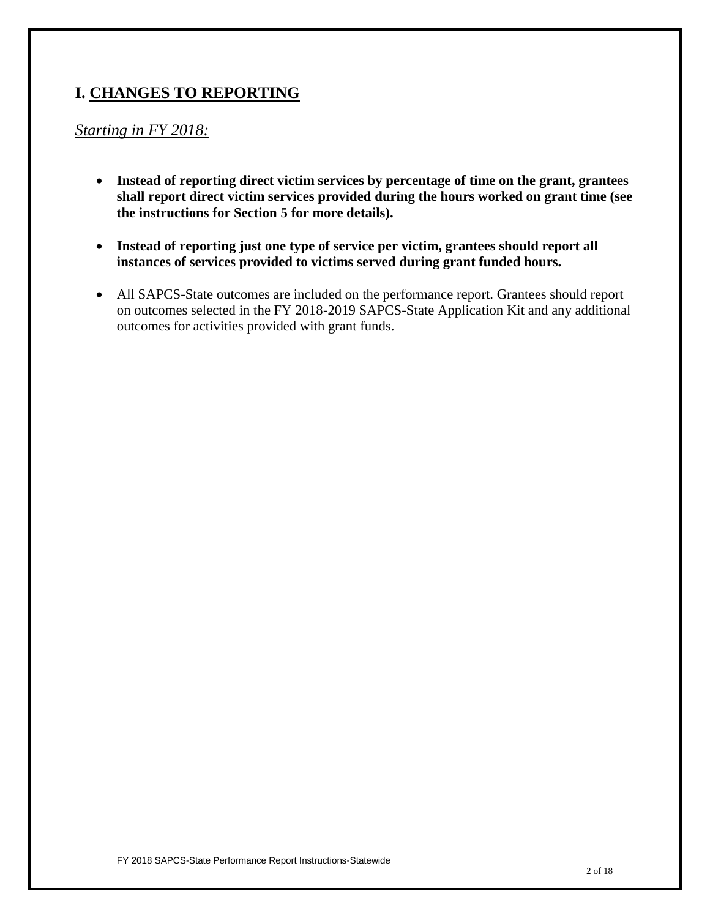# **I. CHANGES TO REPORTING**

# *Starting in FY 2018:*

- **Instead of reporting direct victim services by percentage of time on the grant, grantees shall report direct victim services provided during the hours worked on grant time (see the instructions for Section 5 for more details).**
- **Instead of reporting just one type of service per victim, grantees should report all instances of services provided to victims served during grant funded hours.**
- All SAPCS-State outcomes are included on the performance report. Grantees should report on outcomes selected in the FY 2018-2019 SAPCS-State Application Kit and any additional outcomes for activities provided with grant funds.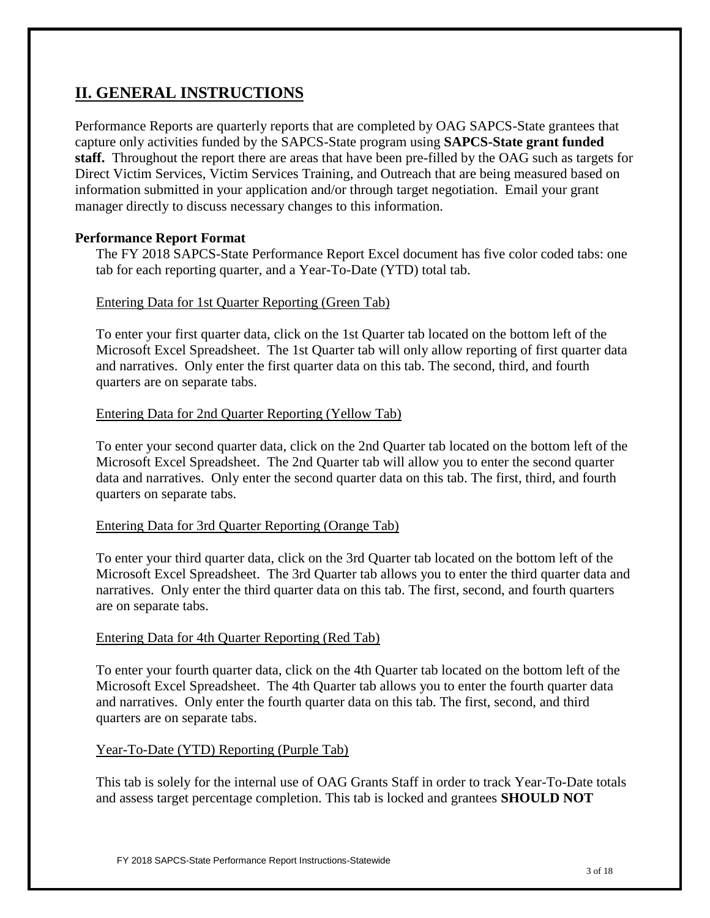# **II. GENERAL INSTRUCTIONS**

Performance Reports are quarterly reports that are completed by OAG SAPCS-State grantees that capture only activities funded by the SAPCS-State program using **SAPCS-State grant funded staff.** Throughout the report there are areas that have been pre-filled by the OAG such as targets for Direct Victim Services, Victim Services Training, and Outreach that are being measured based on information submitted in your application and/or through target negotiation. Email your grant manager directly to discuss necessary changes to this information.

### **Performance Report Format**

The FY 2018 SAPCS-State Performance Report Excel document has five color coded tabs: one tab for each reporting quarter, and a Year-To-Date (YTD) total tab.

#### Entering Data for 1st Quarter Reporting (Green Tab)

To enter your first quarter data, click on the 1st Quarter tab located on the bottom left of the Microsoft Excel Spreadsheet. The 1st Quarter tab will only allow reporting of first quarter data and narratives. Only enter the first quarter data on this tab. The second, third, and fourth quarters are on separate tabs.

#### Entering Data for 2nd Quarter Reporting (Yellow Tab)

To enter your second quarter data, click on the 2nd Quarter tab located on the bottom left of the Microsoft Excel Spreadsheet. The 2nd Quarter tab will allow you to enter the second quarter data and narratives. Only enter the second quarter data on this tab. The first, third, and fourth quarters on separate tabs.

#### Entering Data for 3rd Quarter Reporting (Orange Tab)

To enter your third quarter data, click on the 3rd Quarter tab located on the bottom left of the Microsoft Excel Spreadsheet. The 3rd Quarter tab allows you to enter the third quarter data and narratives. Only enter the third quarter data on this tab. The first, second, and fourth quarters are on separate tabs.

#### Entering Data for 4th Quarter Reporting (Red Tab)

To enter your fourth quarter data, click on the 4th Quarter tab located on the bottom left of the Microsoft Excel Spreadsheet. The 4th Quarter tab allows you to enter the fourth quarter data and narratives. Only enter the fourth quarter data on this tab. The first, second, and third quarters are on separate tabs.

### Year-To-Date (YTD) Reporting (Purple Tab)

This tab is solely for the internal use of OAG Grants Staff in order to track Year-To-Date totals and assess target percentage completion. This tab is locked and grantees **SHOULD NOT**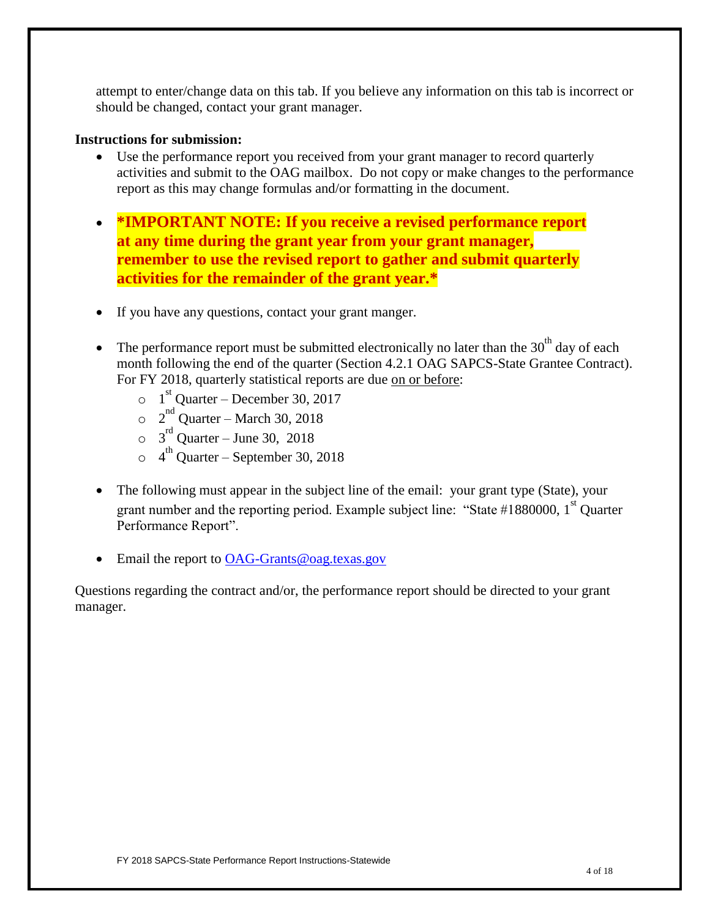attempt to enter/change data on this tab. If you believe any information on this tab is incorrect or should be changed, contact your grant manager.

### **Instructions for submission:**

- Use the performance report you received from your grant manager to record quarterly activities and submit to the OAG mailbox. Do not copy or make changes to the performance report as this may change formulas and/or formatting in the document.
- **\*IMPORTANT NOTE: If you receive a revised performance report at any time during the grant year from your grant manager, remember to use the revised report to gather and submit quarterly activities for the remainder of the grant year.\***
- If you have any questions, contact your grant manger.
- The performance report must be submitted electronically no later than the  $30<sup>th</sup>$  day of each month following the end of the quarter (Section 4.2.1 OAG SAPCS-State Grantee Contract). For FY 2018, quarterly statistical reports are due on or before:
	- $\circ$  1<sup>st</sup> Quarter December 30, 2017
	- $\circ$  2<sup>nd</sup> Quarter March 30, 2018
	- $\circ$  3<sup>rd</sup> Quarter June 30, 2018
	- $\circ$  4<sup>th</sup> Quarter September 30, 2018
- The following must appear in the subject line of the email: your grant type (State), your grant number and the reporting period. Example subject line: "State  $#1880000$ ,  $1<sup>st</sup>$  Quarter Performance Report".
- Email the report to [OAG-Grants@oag.texas.gov](mailto:OAG-Grants@oag.texas.gov)

Questions regarding the contract and/or, the performance report should be directed to your grant manager.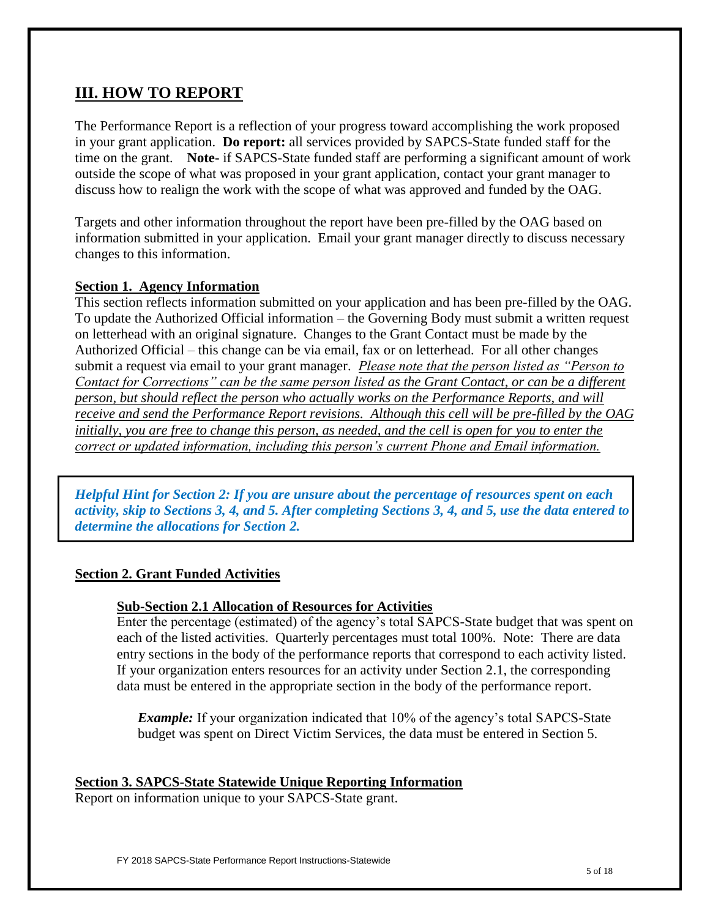## **III. HOW TO REPORT**

The Performance Report is a reflection of your progress toward accomplishing the work proposed in your grant application. **Do report:** all services provided by SAPCS-State funded staff for the time on the grant. **Note-** if SAPCS-State funded staff are performing a significant amount of work outside the scope of what was proposed in your grant application, contact your grant manager to discuss how to realign the work with the scope of what was approved and funded by the OAG.

Targets and other information throughout the report have been pre-filled by the OAG based on information submitted in your application. Email your grant manager directly to discuss necessary changes to this information.

#### **Section 1. Agency Information**

This section reflects information submitted on your application and has been pre-filled by the OAG. To update the Authorized Official information – the Governing Body must submit a written request on letterhead with an original signature. Changes to the Grant Contact must be made by the Authorized Official – this change can be via email, fax or on letterhead. For all other changes submit a request via email to your grant manager. *Please note that the person listed as "Person to Contact for Corrections" can be the same person listed as the Grant Contact, or can be a different person, but should reflect the person who actually works on the Performance Reports, and will receive and send the Performance Report revisions. Although this cell will be pre-filled by the OAG initially, you are free to change this person, as needed, and the cell is open for you to enter the correct or updated information, including this person's current Phone and Email information.*

*Helpful Hint for Section 2: If you are unsure about the percentage of resources spent on each activity, skip to Sections 3, 4, and 5. After completing Sections 3, 4, and 5, use the data entered to determine the allocations for Section 2.* 

#### **Section 2. Grant Funded Activities**

#### **Sub-Section 2.1 Allocation of Resources for Activities**

Enter the percentage (estimated) of the agency's total SAPCS-State budget that was spent on each of the listed activities. Quarterly percentages must total 100%. Note: There are data entry sections in the body of the performance reports that correspond to each activity listed. If your organization enters resources for an activity under Section 2.1, the corresponding data must be entered in the appropriate section in the body of the performance report.

*Example:* If your organization indicated that 10% of the agency's total SAPCS-State budget was spent on Direct Victim Services, the data must be entered in Section 5.

### **Section 3. SAPCS-State Statewide Unique Reporting Information**

Report on information unique to your SAPCS-State grant.

FY 2018 SAPCS-State Performance Report Instructions-Statewide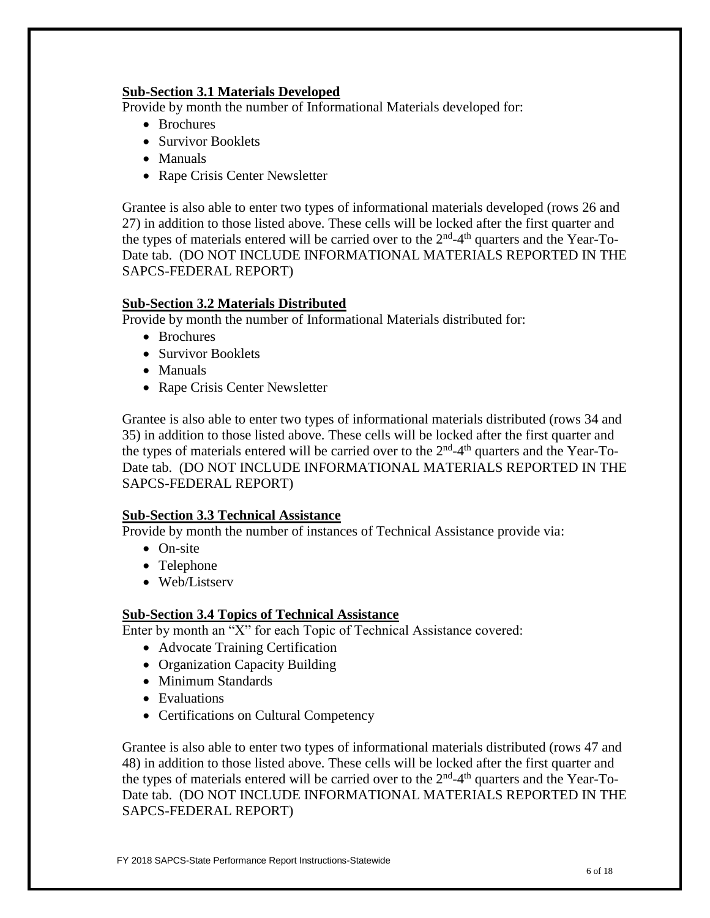#### **Sub-Section 3.1 Materials Developed**

Provide by month the number of Informational Materials developed for:

- Brochures
- Survivor Booklets
- Manuals
- Rape Crisis Center Newsletter

Grantee is also able to enter two types of informational materials developed (rows 26 and 27) in addition to those listed above. These cells will be locked after the first quarter and the types of materials entered will be carried over to the  $2<sup>nd</sup>$ -4<sup>th</sup> quarters and the Year-To-Date tab. (DO NOT INCLUDE INFORMATIONAL MATERIALS REPORTED IN THE SAPCS-FEDERAL REPORT)

### **Sub-Section 3.2 Materials Distributed**

Provide by month the number of Informational Materials distributed for:

- Brochures
- Survivor Booklets
- Manuals
- Rape Crisis Center Newsletter

Grantee is also able to enter two types of informational materials distributed (rows 34 and 35) in addition to those listed above. These cells will be locked after the first quarter and the types of materials entered will be carried over to the  $2<sup>nd</sup>$ -4<sup>th</sup> quarters and the Year-To-Date tab. (DO NOT INCLUDE INFORMATIONAL MATERIALS REPORTED IN THE SAPCS-FEDERAL REPORT)

#### **Sub-Section 3.3 Technical Assistance**

Provide by month the number of instances of Technical Assistance provide via:

- On-site
- Telephone
- Web/Listserv

### **Sub-Section 3.4 Topics of Technical Assistance**

Enter by month an "X" for each Topic of Technical Assistance covered:

- Advocate Training Certification
- Organization Capacity Building
- Minimum Standards
- Evaluations
- Certifications on Cultural Competency

Grantee is also able to enter two types of informational materials distributed (rows 47 and 48) in addition to those listed above. These cells will be locked after the first quarter and the types of materials entered will be carried over to the  $2<sup>nd</sup>$ -4<sup>th</sup> quarters and the Year-To-Date tab. (DO NOT INCLUDE INFORMATIONAL MATERIALS REPORTED IN THE SAPCS-FEDERAL REPORT)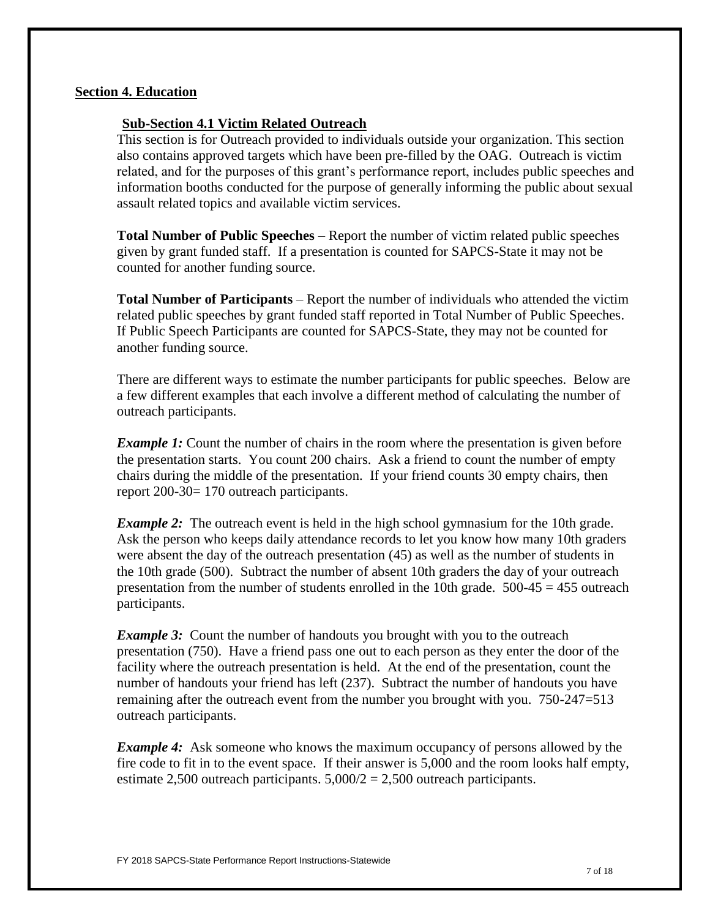#### **Section 4. Education**

#### **Sub-Section 4.1 Victim Related Outreach**

This section is for Outreach provided to individuals outside your organization. This section also contains approved targets which have been pre-filled by the OAG. Outreach is victim related, and for the purposes of this grant's performance report, includes public speeches and information booths conducted for the purpose of generally informing the public about sexual assault related topics and available victim services.

**Total Number of Public Speeches** – Report the number of victim related public speeches given by grant funded staff. If a presentation is counted for SAPCS-State it may not be counted for another funding source.

**Total Number of Participants** – Report the number of individuals who attended the victim related public speeches by grant funded staff reported in Total Number of Public Speeches. If Public Speech Participants are counted for SAPCS-State, they may not be counted for another funding source.

There are different ways to estimate the number participants for public speeches. Below are a few different examples that each involve a different method of calculating the number of outreach participants.

*Example 1:* Count the number of chairs in the room where the presentation is given before the presentation starts. You count 200 chairs. Ask a friend to count the number of empty chairs during the middle of the presentation. If your friend counts 30 empty chairs, then report 200-30= 170 outreach participants.

*Example 2*: The outreach event is held in the high school gymnasium for the 10th grade. Ask the person who keeps daily attendance records to let you know how many 10th graders were absent the day of the outreach presentation (45) as well as the number of students in the 10th grade (500). Subtract the number of absent 10th graders the day of your outreach presentation from the number of students enrolled in the 10th grade.  $500-45 = 455$  outreach participants.

*Example 3:* Count the number of handouts you brought with you to the outreach presentation (750). Have a friend pass one out to each person as they enter the door of the facility where the outreach presentation is held. At the end of the presentation, count the number of handouts your friend has left (237). Subtract the number of handouts you have remaining after the outreach event from the number you brought with you. 750-247=513 outreach participants.

*Example 4:* Ask someone who knows the maximum occupancy of persons allowed by the fire code to fit in to the event space. If their answer is 5,000 and the room looks half empty, estimate 2,500 outreach participants.  $5,000/2 = 2,500$  outreach participants.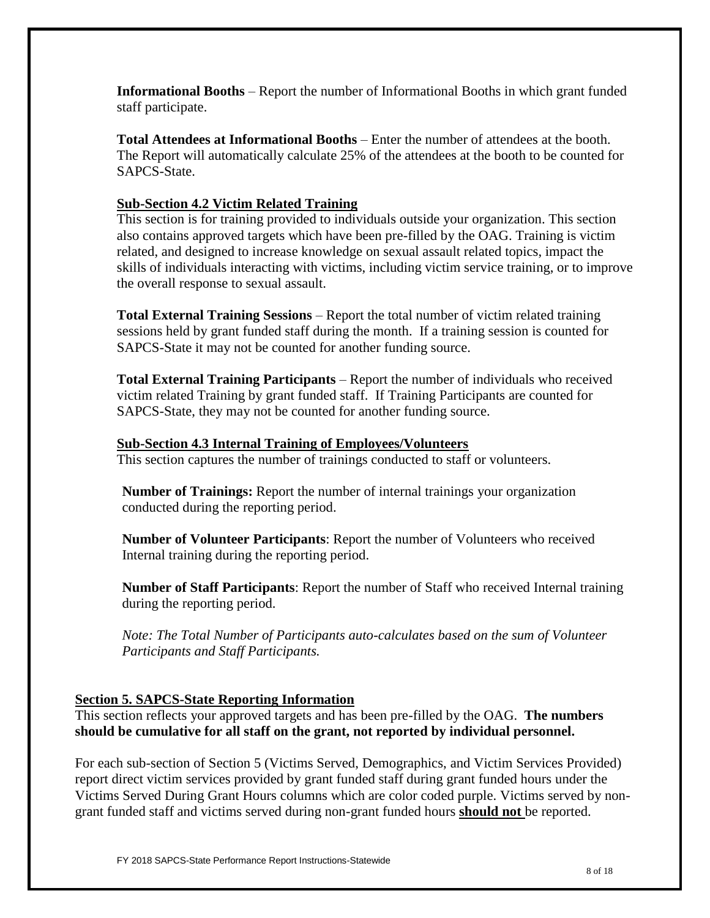**Informational Booths** – Report the number of Informational Booths in which grant funded staff participate.

**Total Attendees at Informational Booths** – Enter the number of attendees at the booth. The Report will automatically calculate 25% of the attendees at the booth to be counted for SAPCS-State.

### **Sub-Section 4.2 Victim Related Training**

This section is for training provided to individuals outside your organization. This section also contains approved targets which have been pre-filled by the OAG. Training is victim related, and designed to increase knowledge on sexual assault related topics, impact the skills of individuals interacting with victims, including victim service training, or to improve the overall response to sexual assault.

**Total External Training Sessions** – Report the total number of victim related training sessions held by grant funded staff during the month. If a training session is counted for SAPCS-State it may not be counted for another funding source.

**Total External Training Participants** – Report the number of individuals who received victim related Training by grant funded staff. If Training Participants are counted for SAPCS-State, they may not be counted for another funding source.

#### **Sub-Section 4.3 Internal Training of Employees/Volunteers**

This section captures the number of trainings conducted to staff or volunteers.

**Number of Trainings:** Report the number of internal trainings your organization conducted during the reporting period.

**Number of Volunteer Participants**: Report the number of Volunteers who received Internal training during the reporting period.

**Number of Staff Participants**: Report the number of Staff who received Internal training during the reporting period.

*Note: The Total Number of Participants auto-calculates based on the sum of Volunteer Participants and Staff Participants.*

#### **Section 5. SAPCS-State Reporting Information**

This section reflects your approved targets and has been pre-filled by the OAG. **The numbers should be cumulative for all staff on the grant, not reported by individual personnel.**

For each sub-section of Section 5 (Victims Served, Demographics, and Victim Services Provided) report direct victim services provided by grant funded staff during grant funded hours under the Victims Served During Grant Hours columns which are color coded purple. Victims served by nongrant funded staff and victims served during non-grant funded hours **should not** be reported.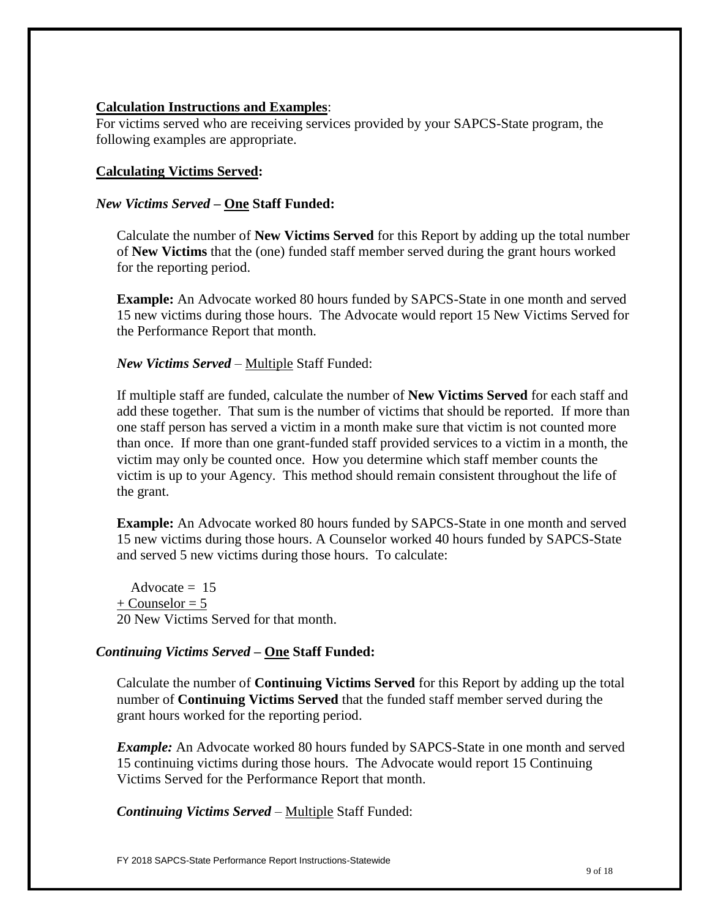### **Calculation Instructions and Examples**:

For victims served who are receiving services provided by your SAPCS-State program, the following examples are appropriate.

### **Calculating Victims Served:**

### *New Victims Served* **– One Staff Funded:**

Calculate the number of **New Victims Served** for this Report by adding up the total number of **New Victims** that the (one) funded staff member served during the grant hours worked for the reporting period.

**Example:** An Advocate worked 80 hours funded by SAPCS-State in one month and served 15 new victims during those hours. The Advocate would report 15 New Victims Served for the Performance Report that month.

### *New Victims Served* – Multiple Staff Funded:

If multiple staff are funded, calculate the number of **New Victims Served** for each staff and add these together. That sum is the number of victims that should be reported. If more than one staff person has served a victim in a month make sure that victim is not counted more than once. If more than one grant-funded staff provided services to a victim in a month, the victim may only be counted once. How you determine which staff member counts the victim is up to your Agency. This method should remain consistent throughout the life of the grant.

**Example:** An Advocate worked 80 hours funded by SAPCS-State in one month and served 15 new victims during those hours. A Counselor worked 40 hours funded by SAPCS-State and served 5 new victims during those hours. To calculate:

Advocate  $= 15$  $+$  Counselor = 5 20 New Victims Served for that month.

### *Continuing Victims Served* **– One Staff Funded:**

Calculate the number of **Continuing Victims Served** for this Report by adding up the total number of **Continuing Victims Served** that the funded staff member served during the grant hours worked for the reporting period.

*Example:* An Advocate worked 80 hours funded by SAPCS-State in one month and served 15 continuing victims during those hours. The Advocate would report 15 Continuing Victims Served for the Performance Report that month.

*Continuing Victims Served* – Multiple Staff Funded: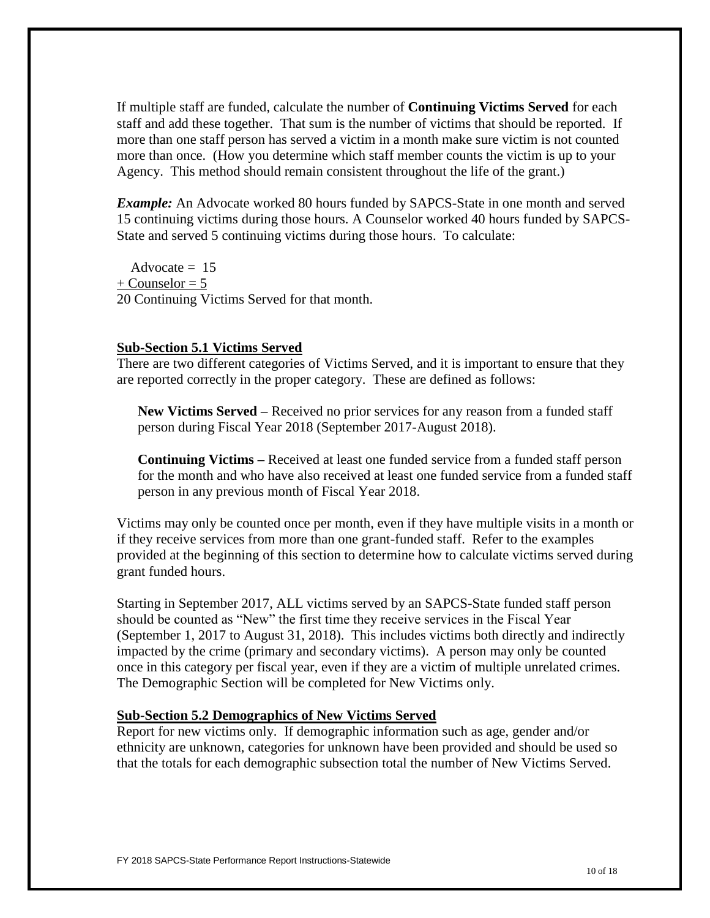If multiple staff are funded, calculate the number of **Continuing Victims Served** for each staff and add these together. That sum is the number of victims that should be reported.If more than one staff person has served a victim in a month make sure victim is not counted more than once. (How you determine which staff member counts the victim is up to your Agency. This method should remain consistent throughout the life of the grant.)

*Example:* An Advocate worked 80 hours funded by SAPCS-State in one month and served 15 continuing victims during those hours. A Counselor worked 40 hours funded by SAPCS-State and served 5 continuing victims during those hours. To calculate:

Advocate  $= 15$  $+$  Counselor = 5 20 Continuing Victims Served for that month.

#### **Sub-Section 5.1 Victims Served**

There are two different categories of Victims Served, and it is important to ensure that they are reported correctly in the proper category. These are defined as follows:

**New Victims Served –** Received no prior services for any reason from a funded staff person during Fiscal Year 2018 (September 2017-August 2018).

**Continuing Victims –** Received at least one funded service from a funded staff person for the month and who have also received at least one funded service from a funded staff person in any previous month of Fiscal Year 2018.

Victims may only be counted once per month, even if they have multiple visits in a month or if they receive services from more than one grant-funded staff. Refer to the examples provided at the beginning of this section to determine how to calculate victims served during grant funded hours.

Starting in September 2017, ALL victims served by an SAPCS-State funded staff person should be counted as "New" the first time they receive services in the Fiscal Year (September 1, 2017 to August 31, 2018). This includes victims both directly and indirectly impacted by the crime (primary and secondary victims). A person may only be counted once in this category per fiscal year, even if they are a victim of multiple unrelated crimes. The Demographic Section will be completed for New Victims only.

#### **Sub-Section 5.2 Demographics of New Victims Served**

Report for new victims only.If demographic information such as age, gender and/or ethnicity are unknown, categories for unknown have been provided and should be used so that the totals for each demographic subsection total the number of New Victims Served.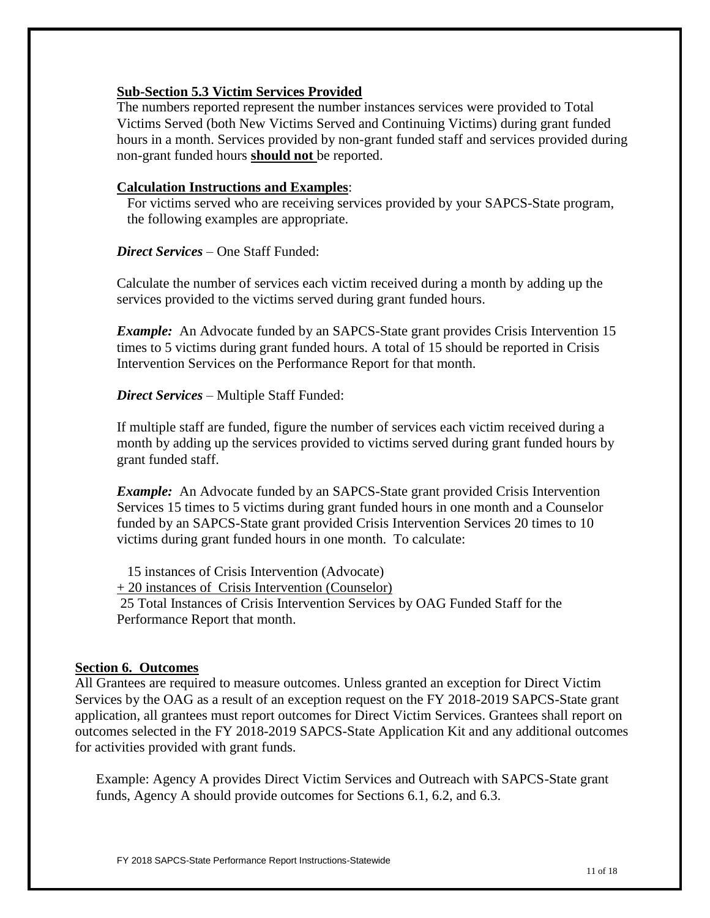### **Sub-Section 5.3 Victim Services Provided**

The numbers reported represent the number instances services were provided to Total Victims Served (both New Victims Served and Continuing Victims) during grant funded hours in a month. Services provided by non-grant funded staff and services provided during non-grant funded hours **should not** be reported.

#### **Calculation Instructions and Examples**:

For victims served who are receiving services provided by your SAPCS-State program, the following examples are appropriate.

#### *Direct Services* – One Staff Funded:

Calculate the number of services each victim received during a month by adding up the services provided to the victims served during grant funded hours.

*Example:* An Advocate funded by an SAPCS-State grant provides Crisis Intervention 15 times to 5 victims during grant funded hours. A total of 15 should be reported in Crisis Intervention Services on the Performance Report for that month.

*Direct Services* – Multiple Staff Funded:

If multiple staff are funded, figure the number of services each victim received during a month by adding up the services provided to victims served during grant funded hours by grant funded staff.

*Example*: An Advocate funded by an SAPCS-State grant provided Crisis Intervention Services 15 times to 5 victims during grant funded hours in one month and a Counselor funded by an SAPCS-State grant provided Crisis Intervention Services 20 times to 10 victims during grant funded hours in one month. To calculate:

 15 instances of Crisis Intervention (Advocate) + 20 instances of Crisis Intervention (Counselor) 25 Total Instances of Crisis Intervention Services by OAG Funded Staff for the Performance Report that month.

#### **Section 6. Outcomes**

All Grantees are required to measure outcomes. Unless granted an exception for Direct Victim Services by the OAG as a result of an exception request on the FY 2018-2019 SAPCS-State grant application, all grantees must report outcomes for Direct Victim Services. Grantees shall report on outcomes selected in the FY 2018-2019 SAPCS-State Application Kit and any additional outcomes for activities provided with grant funds.

Example: Agency A provides Direct Victim Services and Outreach with SAPCS-State grant funds, Agency A should provide outcomes for Sections 6.1, 6.2, and 6.3.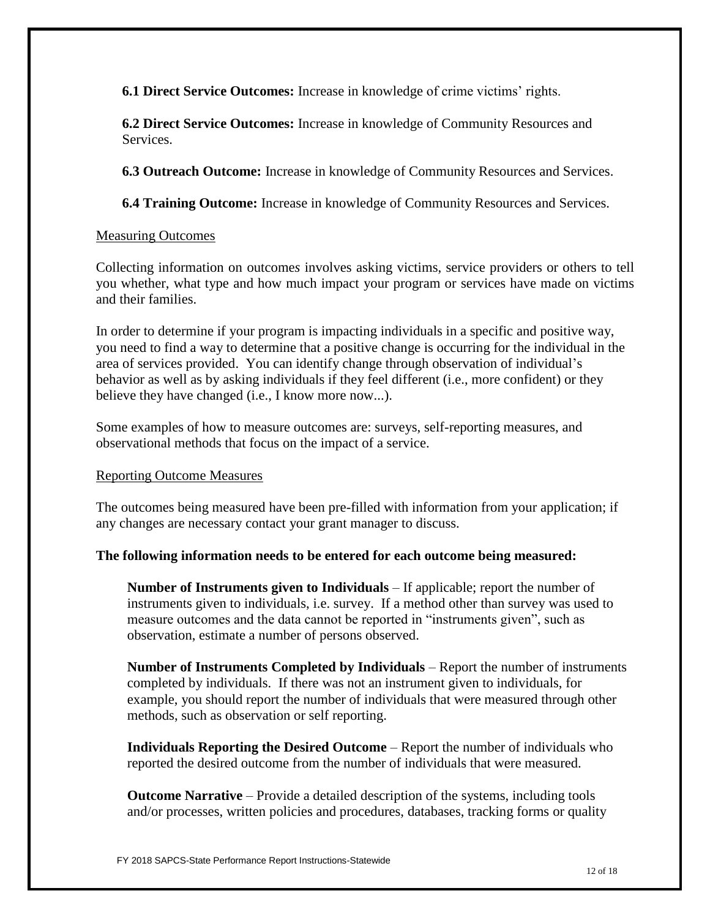**6.1 Direct Service Outcomes:** Increase in knowledge of crime victims' rights.

**6.2 Direct Service Outcomes:** Increase in knowledge of Community Resources and Services.

**6.3 Outreach Outcome:** Increase in knowledge of Community Resources and Services.

**6.4 Training Outcome:** Increase in knowledge of Community Resources and Services.

#### Measuring Outcomes

Collecting information on outcome*s* involves asking victims, service providers or others to tell you whether, what type and how much impact your program or services have made on victims and their families.

In order to determine if your program is impacting individuals in a specific and positive way, you need to find a way to determine that a positive change is occurring for the individual in the area of services provided. You can identify change through observation of individual's behavior as well as by asking individuals if they feel different (i.e., more confident) or they believe they have changed (i.e., I know more now...).

Some examples of how to measure outcomes are: surveys, self-reporting measures, and observational methods that focus on the impact of a service.

#### Reporting Outcome Measures

The outcomes being measured have been pre-filled with information from your application; if any changes are necessary contact your grant manager to discuss.

#### **The following information needs to be entered for each outcome being measured:**

**Number of Instruments given to Individuals** – If applicable; report the number of instruments given to individuals, i.e. survey. If a method other than survey was used to measure outcomes and the data cannot be reported in "instruments given", such as observation, estimate a number of persons observed.

**Number of Instruments Completed by Individuals** – Report the number of instruments completed by individuals. If there was not an instrument given to individuals, for example, you should report the number of individuals that were measured through other methods, such as observation or self reporting.

**Individuals Reporting the Desired Outcome** – Report the number of individuals who reported the desired outcome from the number of individuals that were measured.

**Outcome Narrative** – Provide a detailed description of the systems, including tools and/or processes, written policies and procedures, databases, tracking forms or quality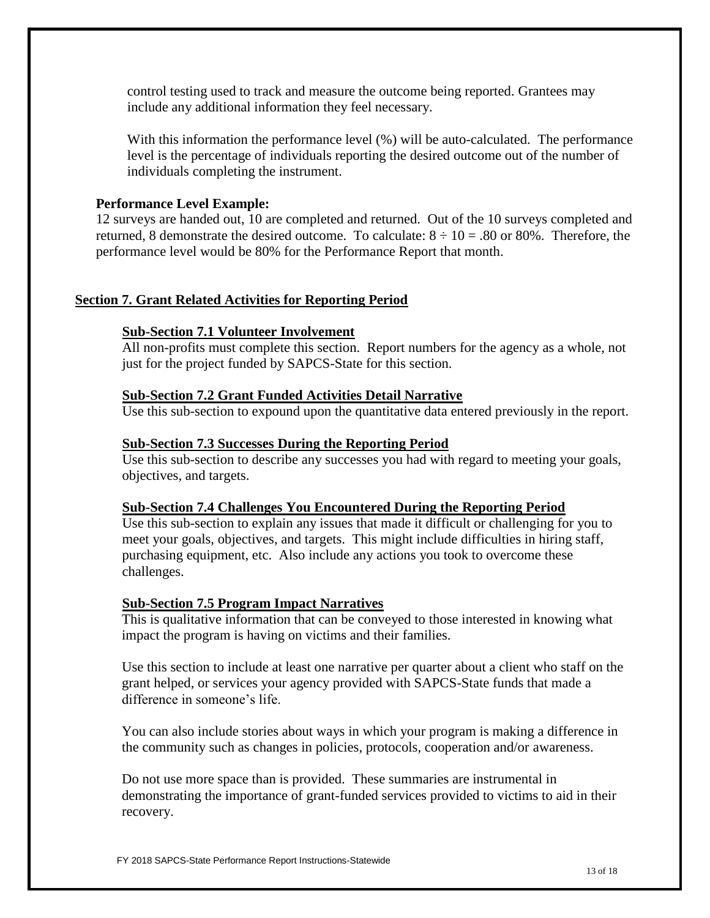control testing used to track and measure the outcome being reported. Grantees may include any additional information they feel necessary.

With this information the performance level (%) will be auto-calculated. The performance level is the percentage of individuals reporting the desired outcome out of the number of individuals completing the instrument.

#### **Performance Level Example:**

12 surveys are handed out, 10 are completed and returned. Out of the 10 surveys completed and returned, 8 demonstrate the desired outcome. To calculate:  $8 \div 10 = .80$  or 80%. Therefore, the performance level would be 80% for the Performance Report that month.

#### **Section 7. Grant Related Activities for Reporting Period**

#### **Sub-Section 7.1 Volunteer Involvement**

All non-profits must complete this section. Report numbers for the agency as a whole, not just for the project funded by SAPCS-State for this section.

#### **Sub-Section 7.2 Grant Funded Activities Detail Narrative**

Use this sub-section to expound upon the quantitative data entered previously in the report.

#### **Sub-Section 7.3 Successes During the Reporting Period**

Use this sub-section to describe any successes you had with regard to meeting your goals, objectives, and targets.

#### **Sub-Section 7.4 Challenges You Encountered During the Reporting Period**

Use this sub-section to explain any issues that made it difficult or challenging for you to meet your goals, objectives, and targets. This might include difficulties in hiring staff, purchasing equipment, etc. Also include any actions you took to overcome these challenges.

#### **Sub-Section 7.5 Program Impact Narratives**

This is qualitative information that can be conveyed to those interested in knowing what impact the program is having on victims and their families.

Use this section to include at least one narrative per quarter about a client who staff on the grant helped, or services your agency provided with SAPCS-State funds that made a difference in someone's life.

You can also include stories about ways in which your program is making a difference in the community such as changes in policies, protocols, cooperation and/or awareness.

Do not use more space than is provided. These summaries are instrumental in demonstrating the importance of grant-funded services provided to victims to aid in their recovery.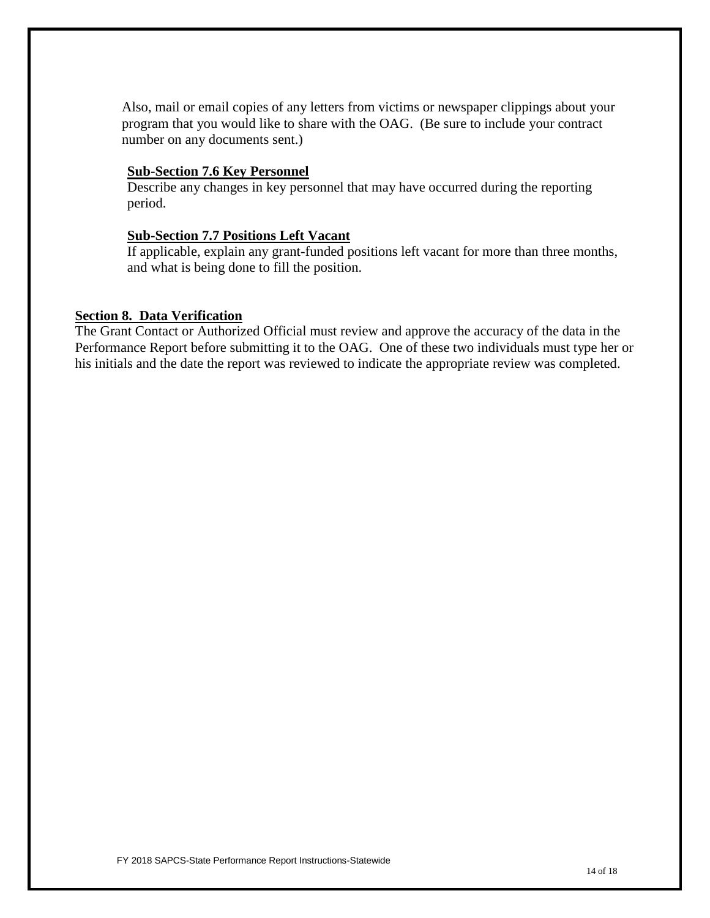Also, mail or email copies of any letters from victims or newspaper clippings about your program that you would like to share with the OAG. (Be sure to include your contract number on any documents sent.)

#### **Sub-Section 7.6 Key Personnel**

Describe any changes in key personnel that may have occurred during the reporting period.

#### **Sub-Section 7.7 Positions Left Vacant**

If applicable, explain any grant-funded positions left vacant for more than three months, and what is being done to fill the position.

#### **Section 8. Data Verification**

The Grant Contact or Authorized Official must review and approve the accuracy of the data in the Performance Report before submitting it to the OAG. One of these two individuals must type her or his initials and the date the report was reviewed to indicate the appropriate review was completed.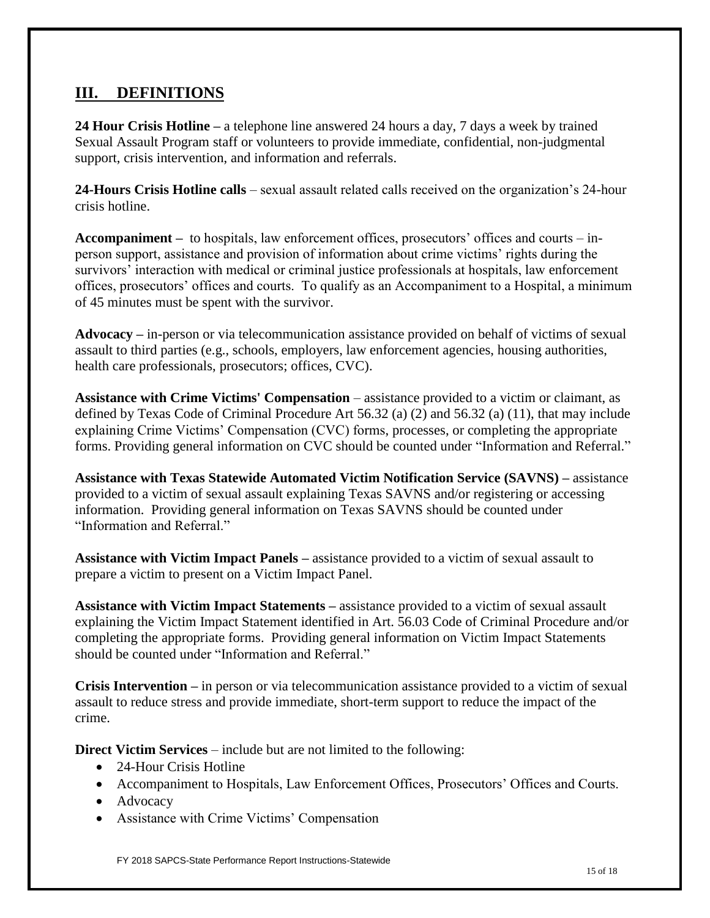## **III. DEFINITIONS**

**24 Hour Crisis Hotline –** a telephone line answered 24 hours a day, 7 days a week by trained Sexual Assault Program staff or volunteers to provide immediate, confidential, non-judgmental support, crisis intervention, and information and referrals.

**24-Hours Crisis Hotline calls** – sexual assault related calls received on the organization's 24-hour crisis hotline.

**Accompaniment –** to hospitals, law enforcement offices, prosecutors' offices and courts – inperson support, assistance and provision of information about crime victims' rights during the survivors' interaction with medical or criminal justice professionals at hospitals, law enforcement offices, prosecutors' offices and courts. To qualify as an Accompaniment to a Hospital, a minimum of 45 minutes must be spent with the survivor.

**Advocacy –** in-person or via telecommunication assistance provided on behalf of victims of sexual assault to third parties (e.g., schools, employers, law enforcement agencies, housing authorities, health care professionals, prosecutors; offices, CVC).

**Assistance with Crime Victims' Compensation** – assistance provided to a victim or claimant, as defined by Texas Code of Criminal Procedure Art 56.32 (a) (2) and 56.32 (a) (11), that may include explaining Crime Victims' Compensation (CVC) forms, processes, or completing the appropriate forms. Providing general information on CVC should be counted under "Information and Referral."

**Assistance with Texas Statewide Automated Victim Notification Service (SAVNS) –** assistance provided to a victim of sexual assault explaining Texas SAVNS and/or registering or accessing information. Providing general information on Texas SAVNS should be counted under "Information and Referral"

**Assistance with Victim Impact Panels –** assistance provided to a victim of sexual assault to prepare a victim to present on a Victim Impact Panel.

**Assistance with Victim Impact Statements –** assistance provided to a victim of sexual assault explaining the Victim Impact Statement identified in Art. 56.03 Code of Criminal Procedure and/or completing the appropriate forms. Providing general information on Victim Impact Statements should be counted under "Information and Referral."

**Crisis Intervention –** in person or via telecommunication assistance provided to a victim of sexual assault to reduce stress and provide immediate, short-term support to reduce the impact of the crime.

**Direct Victim Services** – include but are not limited to the following:

- 24-Hour Crisis Hotline
- Accompaniment to Hospitals, Law Enforcement Offices, Prosecutors' Offices and Courts.
- Advocacy
- Assistance with Crime Victims' Compensation

FY 2018 SAPCS-State Performance Report Instructions-Statewide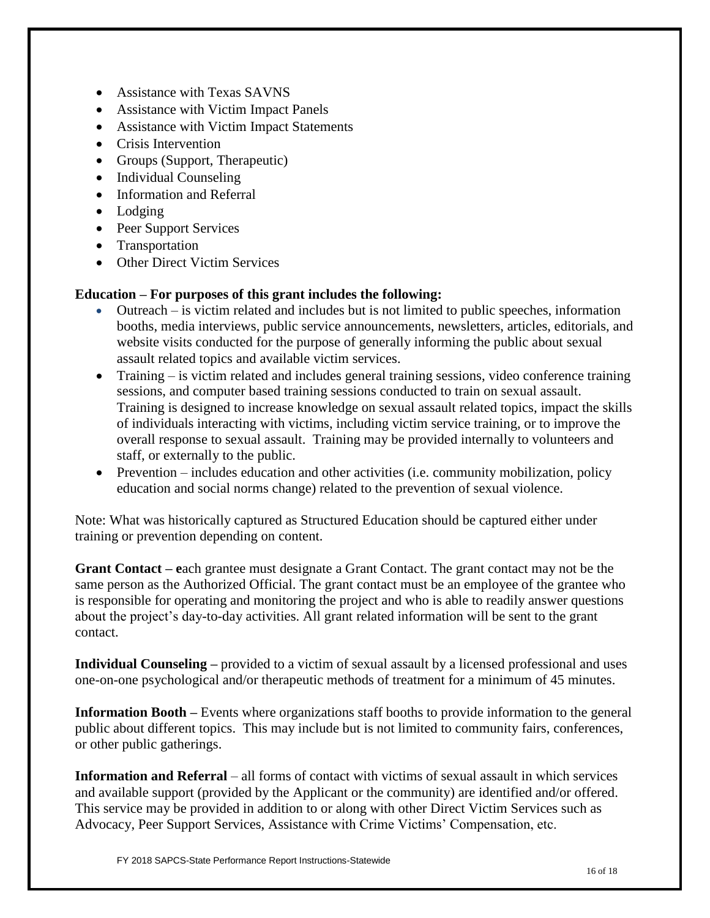- Assistance with Texas SAVNS
- Assistance with Victim Impact Panels
- Assistance with Victim Impact Statements
- Crisis Intervention
- Groups (Support, Therapeutic)
- Individual Counseling
- Information and Referral
- Lodging
- Peer Support Services
- Transportation
- Other Direct Victim Services

### **Education – For purposes of this grant includes the following:**

- Outreach is victim related and includes but is not limited to public speeches, information booths, media interviews, public service announcements, newsletters, articles, editorials, and website visits conducted for the purpose of generally informing the public about sexual assault related topics and available victim services.
- Training is victim related and includes general training sessions, video conference training sessions, and computer based training sessions conducted to train on sexual assault. Training is designed to increase knowledge on sexual assault related topics, impact the skills of individuals interacting with victims, including victim service training, or to improve the overall response to sexual assault. Training may be provided internally to volunteers and staff, or externally to the public.
- Prevention includes education and other activities (i.e. community mobilization, policy education and social norms change) related to the prevention of sexual violence.

Note: What was historically captured as Structured Education should be captured either under training or prevention depending on content.

**Grant Contact – e**ach grantee must designate a Grant Contact. The grant contact may not be the same person as the Authorized Official. The grant contact must be an employee of the grantee who is responsible for operating and monitoring the project and who is able to readily answer questions about the project's day-to-day activities. All grant related information will be sent to the grant contact.

**Individual Counseling –** provided to a victim of sexual assault by a licensed professional and uses one-on-one psychological and/or therapeutic methods of treatment for a minimum of 45 minutes.

**Information Booth –** Events where organizations staff booths to provide information to the general public about different topics. This may include but is not limited to community fairs, conferences, or other public gatherings.

**Information and Referral** – all forms of contact with victims of sexual assault in which services and available support (provided by the Applicant or the community) are identified and/or offered. This service may be provided in addition to or along with other Direct Victim Services such as Advocacy, Peer Support Services, Assistance with Crime Victims' Compensation, etc.

FY 2018 SAPCS-State Performance Report Instructions-Statewide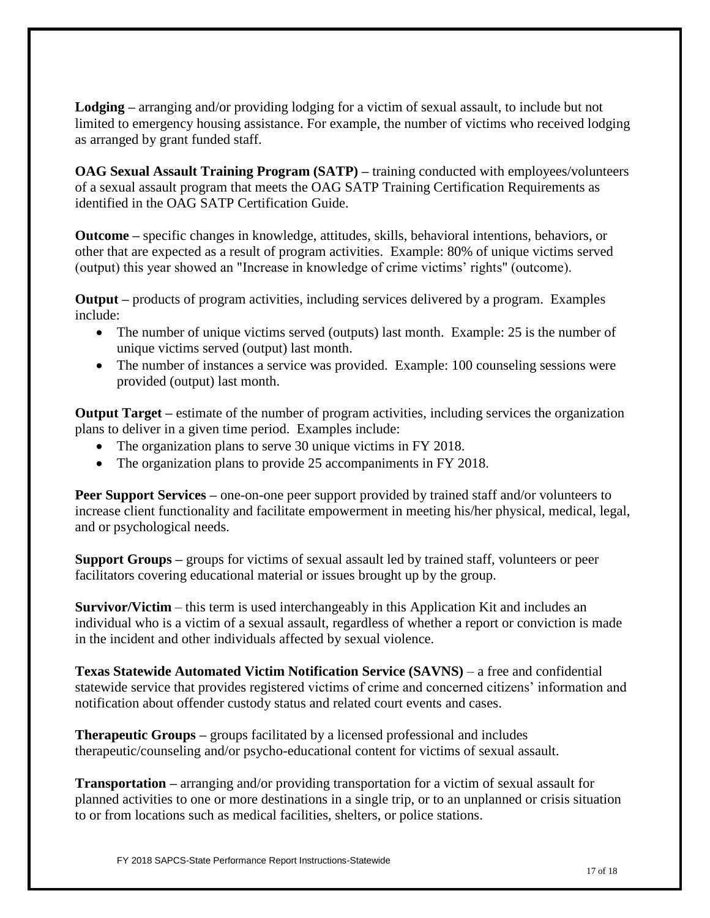**Lodging –** arranging and/or providing lodging for a victim of sexual assault, to include but not limited to emergency housing assistance. For example, the number of victims who received lodging as arranged by grant funded staff.

**OAG Sexual Assault Training Program (SATP) –** training conducted with employees/volunteers of a sexual assault program that meets the OAG SATP Training Certification Requirements as identified in the OAG SATP Certification Guide.

**Outcome –** specific changes in knowledge, attitudes, skills, behavioral intentions, behaviors, or other that are expected as a result of program activities.Example: 80% of unique victims served (output) this year showed an "Increase in knowledge of crime victims' rights" (outcome).

**Output –** products of program activities, including services delivered by a program. Examples include:

- The number of unique victims served (outputs) last month. Example: 25 is the number of unique victims served (output) last month.
- The number of instances a service was provided. Example: 100 counseling sessions were provided (output) last month.

**Output Target –** estimate of the number of program activities, including services the organization plans to deliver in a given time period. Examples include:

- The organization plans to serve 30 unique victims in FY 2018.
- The organization plans to provide 25 accompaniments in FY 2018.

**Peer Support Services** – one-on-one peer support provided by trained staff and/or volunteers to increase client functionality and facilitate empowerment in meeting his/her physical, medical, legal, and or psychological needs.

**Support Groups –** groups for victims of sexual assault led by trained staff, volunteers or peer facilitators covering educational material or issues brought up by the group.

**Survivor/Victim** – this term is used interchangeably in this Application Kit and includes an individual who is a victim of a sexual assault, regardless of whether a report or conviction is made in the incident and other individuals affected by sexual violence.

**Texas Statewide Automated Victim Notification Service (SAVNS)** – a free and confidential statewide service that provides registered victims of crime and concerned citizens' information and notification about offender custody status and related court events and cases.

**Therapeutic Groups –** groups facilitated by a licensed professional and includes therapeutic/counseling and/or psycho-educational content for victims of sexual assault.

**Transportation –** arranging and/or providing transportation for a victim of sexual assault for planned activities to one or more destinations in a single trip, or to an unplanned or crisis situation to or from locations such as medical facilities, shelters, or police stations.

FY 2018 SAPCS-State Performance Report Instructions-Statewide